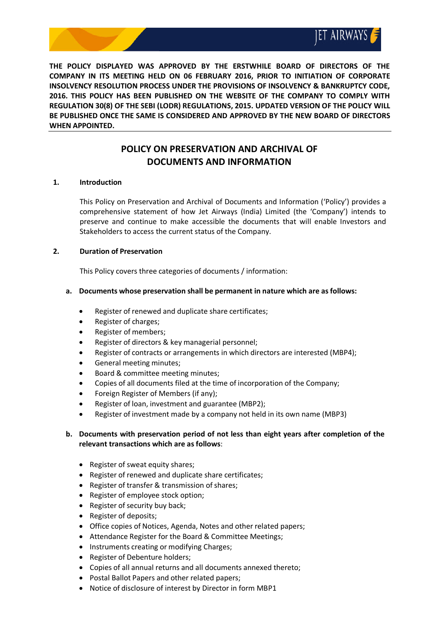

**THE POLICY DISPLAYED WAS APPROVED BY THE ERSTWHILE BOARD OF DIRECTORS OF THE COMPANY IN ITS MEETING HELD ON 06 FEBRUARY 2016, PRIOR TO INITIATION OF CORPORATE INSOLVENCY RESOLUTION PROCESS UNDER THE PROVISIONS OF INSOLVENCY & BANKRUPTCY CODE, 2016. THIS POLICY HAS BEEN PUBLISHED ON THE WEBSITE OF THE COMPANY TO COMPLY WITH REGULATION 30(8) OF THE SEBI (LODR) REGULATIONS, 2015. UPDATED VERSION OF THE POLICY WILL BE PUBLISHED ONCE THE SAME IS CONSIDERED AND APPROVED BY THE NEW BOARD OF DIRECTORS WHEN APPOINTED.**

# **POLICY ON PRESERVATION AND ARCHIVAL OF DOCUMENTS AND INFORMATION**

### **1. Introduction**

This Policy on Preservation and Archival of Documents and Information ('Policy') provides a comprehensive statement of how Jet Airways (India) Limited (the 'Company') intends to preserve and continue to make accessible the documents that will enable Investors and Stakeholders to access the current status of the Company.

#### **2. Duration of Preservation**

This Policy covers three categories of documents / information:

#### **a. Documents whose preservation shall be permanent in nature which are asfollows:**

- Register of renewed and duplicate share certificates;
- Register of charges;
- Register of members;
- Register of directors & key managerial personnel;
- Register of contracts or arrangements in which directors are interested (MBP4);
- General meeting minutes;
- Board & committee meeting minutes;
- Copies of all documents filed at the time of incorporation of the Company;
- Foreign Register of Members (if any);
- Register of loan, investment and guarantee (MBP2);
- Register of investment made by a company not held in its own name (MBP3)

### **b. Documents with preservation period of not less than eight years after completion of the relevant transactions which are as follows**:

- Register of sweat equity shares;
- Register of renewed and duplicate share certificates;
- Register of transfer & transmission of shares;
- Register of employee stock option;
- $\bullet$  Register of security buy back;
- Register of deposits;
- Office copies of Notices, Agenda, Notes and other related papers;
- Attendance Register for the Board & Committee Meetings;
- Instruments creating or modifying Charges;
- Register of Debenture holders;
- Copies of all annual returns and all documents annexed thereto;
- Postal Ballot Papers and other related papers;
- Notice of disclosure of interest by Director in form MBP1